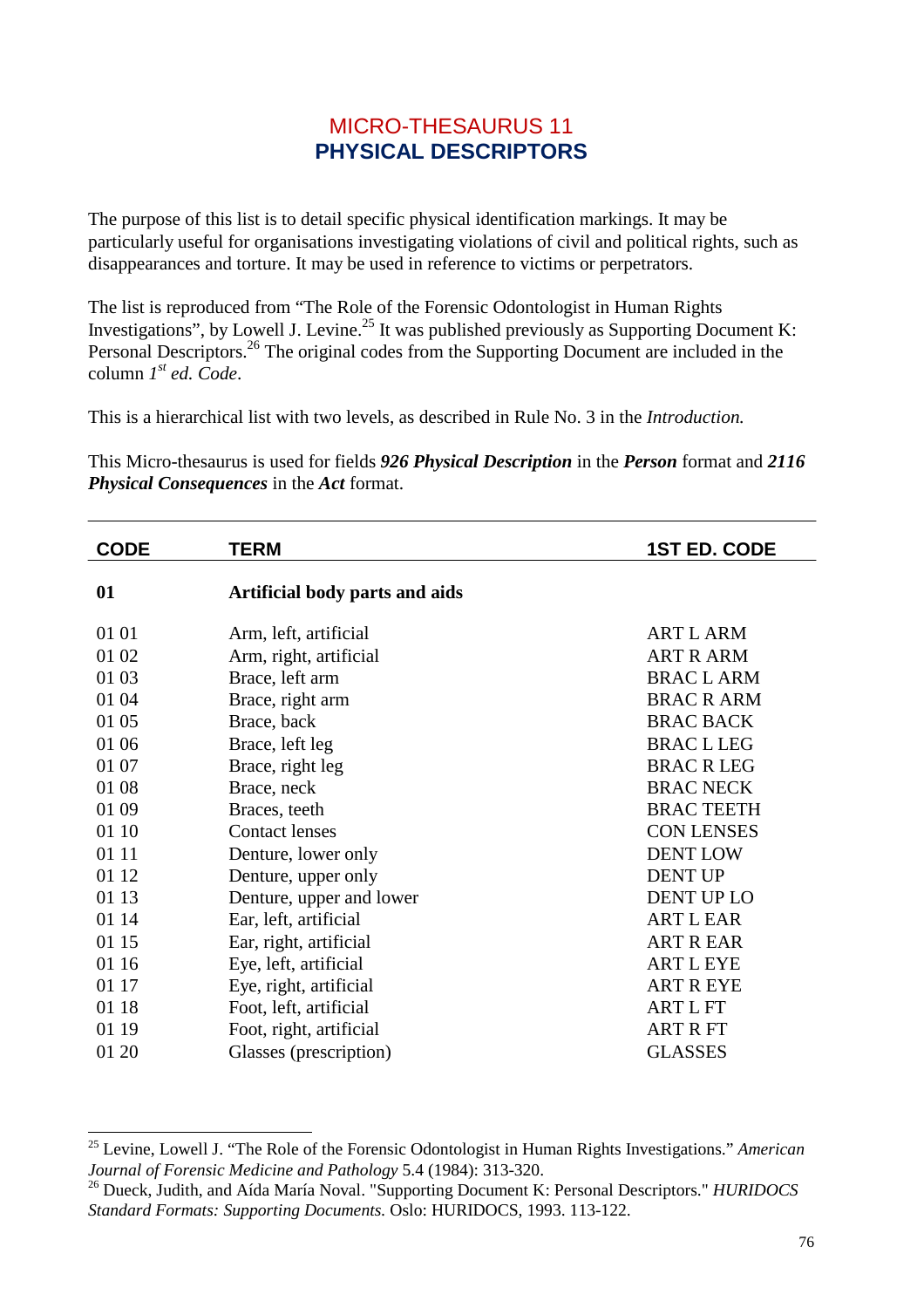## MICRO-THESAURUS 11 **PHYSICAL DESCRIPTORS**

The purpose of this list is to detail specific physical identification markings. It may be particularly useful for organisations investigating violations of civil and political rights, such as disappearances and torture. It may be used in reference to victims or perpetrators.

The list is reproduced from "The Role of the Forensic Odontologist in Human Rights Investigations", by Lowell J. Levine.<sup>25</sup> It was published previously as Supporting Document K: Personal Descriptors.<sup>26</sup> The original codes from the Supporting Document are included in the column *1 st ed. Code*.

This is a hierarchical list with two levels, as described in Rule No. 3 in the *Introduction.*

This Micro-thesaurus is used for fields *926 Physical Description* in the *Person* format and *2116 Physical Consequences* in the *Act* format.

| <b>CODE</b> | <b>TERM</b>                    | <b>1ST ED. CODE</b> |
|-------------|--------------------------------|---------------------|
| 01          | Artificial body parts and aids |                     |
| 01 01       | Arm, left, artificial          | <b>ART L ARM</b>    |
| 01 02       | Arm, right, artificial         | <b>ART R ARM</b>    |
| 01 03       | Brace, left arm                | <b>BRAC L ARM</b>   |
| 01 04       | Brace, right arm               | <b>BRAC R ARM</b>   |
| 01 05       | Brace, back                    | <b>BRAC BACK</b>    |
| 01 06       | Brace, left leg                | <b>BRAC L LEG</b>   |
| 01 07       | Brace, right leg               | <b>BRAC R LEG</b>   |
| 01 08       | Brace, neck                    | <b>BRAC NECK</b>    |
| 01 09       | Braces, teeth                  | <b>BRAC TEETH</b>   |
| 01 10       | <b>Contact lenses</b>          | <b>CON LENSES</b>   |
| 01 11       | Denture, lower only            | <b>DENT LOW</b>     |
| 01 12       | Denture, upper only            | <b>DENT UP</b>      |
| 01 13       | Denture, upper and lower       | <b>DENT UP LO</b>   |
| 01 14       | Ear, left, artificial          | <b>ART L EAR</b>    |
| 01 15       | Ear, right, artificial         | <b>ART R EAR</b>    |
| 01 16       | Eye, left, artificial          | <b>ART L EYE</b>    |
| 01 17       | Eye, right, artificial         | <b>ART R EYE</b>    |
| 01 18       | Foot, left, artificial         | <b>ARTLFT</b>       |
| 01 19       | Foot, right, artificial        | <b>ART R FT</b>     |
| 01 20       | Glasses (prescription)         | <b>GLASSES</b>      |

l

<sup>25</sup> Levine, Lowell J. "The Role of the Forensic Odontologist in Human Rights Investigations." *American Journal of Forensic Medicine and Pathology* 5.4 (1984): 313-320.

<sup>26</sup> Dueck, Judith, and Aída María Noval. "Supporting Document K: Personal Descriptors." *HURIDOCS Standard Formats: Supporting Documents.* Oslo: HURIDOCS, 1993. 113-122.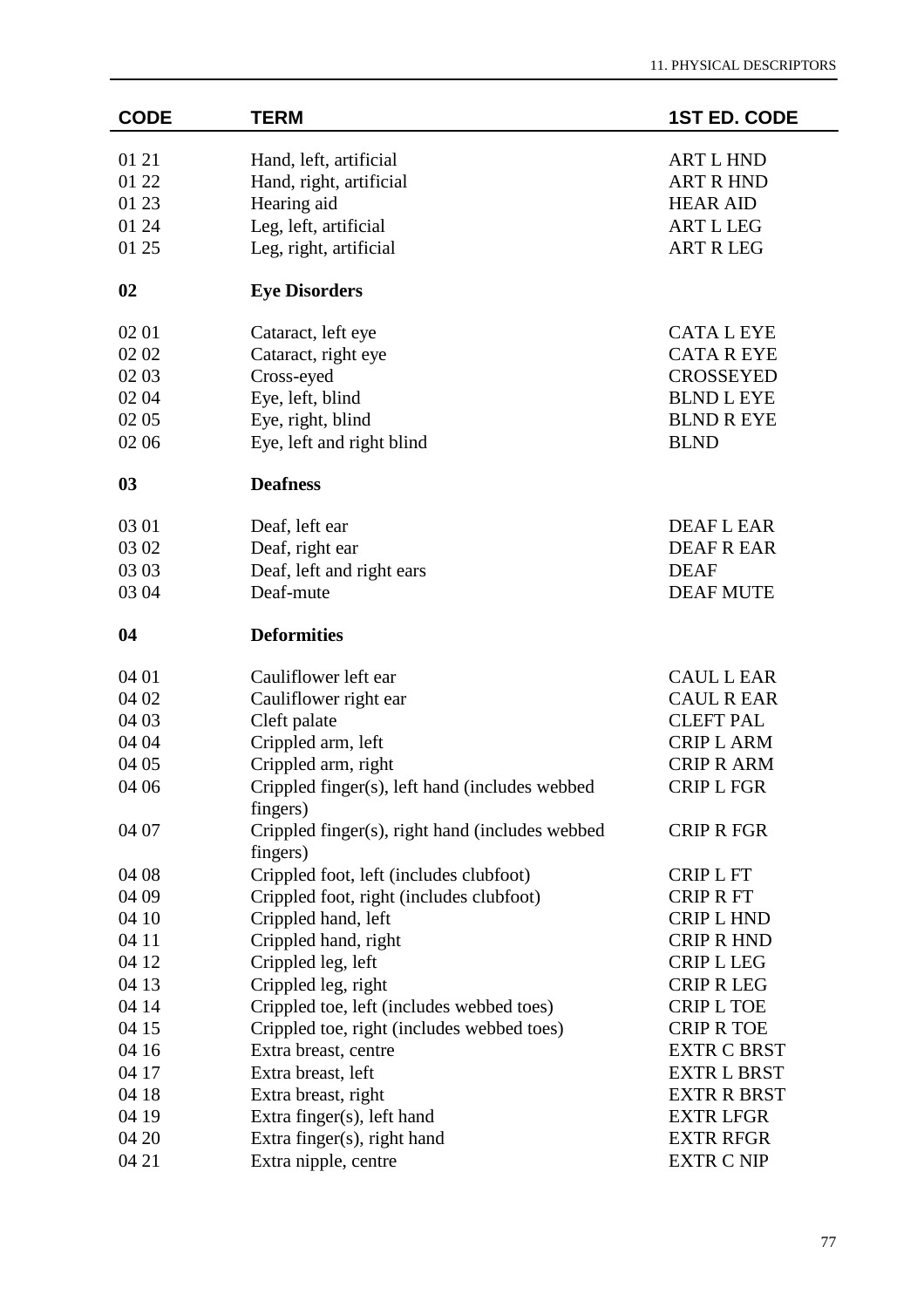| <b>CODE</b> | <b>TERM</b>                                                 | <b>1ST ED. CODE</b> |
|-------------|-------------------------------------------------------------|---------------------|
| 01 21       | Hand, left, artificial                                      | <b>ART L HND</b>    |
| 01 22       | Hand, right, artificial                                     | <b>ART R HND</b>    |
| 01 23       | Hearing aid                                                 | <b>HEAR AID</b>     |
| 01 24       | Leg, left, artificial                                       | <b>ART L LEG</b>    |
| 01 25       | Leg, right, artificial                                      | <b>ART R LEG</b>    |
| 02          | <b>Eye Disorders</b>                                        |                     |
| 02 01       | Cataract, left eye                                          | <b>CATALEYE</b>     |
| 02 02       | Cataract, right eye                                         | <b>CATA R EYE</b>   |
| 02 03       | Cross-eyed                                                  | <b>CROSSEYED</b>    |
| 02 04       | Eye, left, blind                                            | <b>BLND L EYE</b>   |
| 02 05       | Eye, right, blind                                           | <b>BLND R EYE</b>   |
| 02 06       | Eye, left and right blind                                   | <b>BLND</b>         |
| 03          | <b>Deafness</b>                                             |                     |
| 03 01       | Deaf, left ear                                              | <b>DEAFLEAR</b>     |
| 03 02       | Deaf, right ear                                             | DEAF R EAR          |
| 03 03       | Deaf, left and right ears                                   | <b>DEAF</b>         |
| 03 04       | Deaf-mute                                                   | <b>DEAF MUTE</b>    |
| 04          | <b>Deformities</b>                                          |                     |
| 04 01       | Cauliflower left ear                                        | <b>CAUL L EAR</b>   |
| 04 02       | Cauliflower right ear                                       | <b>CAUL R EAR</b>   |
| 04 03       | Cleft palate                                                | <b>CLEFT PAL</b>    |
| 04 04       | Crippled arm, left                                          | <b>CRIP L ARM</b>   |
| 04 05       | Crippled arm, right                                         | <b>CRIP R ARM</b>   |
| 04 06       | Crippled finger(s), left hand (includes webbed<br>fingers)  | <b>CRIP L FGR</b>   |
| 04 07       | Crippled finger(s), right hand (includes webbed<br>fingers) | CRIP R FGR          |
| 04 08       | Crippled foot, left (includes clubfoot)                     | <b>CRIP L FT</b>    |
| 04 09       | Crippled foot, right (includes clubfoot)                    | <b>CRIP R FT</b>    |
| 04 10       | Crippled hand, left                                         | <b>CRIP L HND</b>   |
| 04 11       | Crippled hand, right                                        | <b>CRIP R HND</b>   |
| 04 12       | Crippled leg, left                                          | <b>CRIP L LEG</b>   |
| 04 13       | Crippled leg, right                                         | <b>CRIP R LEG</b>   |
| 04 14       | Crippled toe, left (includes webbed toes)                   | <b>CRIP L TOE</b>   |
| 04 15       | Crippled toe, right (includes webbed toes)                  | <b>CRIP R TOE</b>   |
| 04 16       | Extra breast, centre                                        | <b>EXTR C BRST</b>  |
| 04 17       | Extra breast, left                                          | <b>EXTR L BRST</b>  |
| 04 18       | Extra breast, right                                         | <b>EXTR R BRST</b>  |
| 04 19       | Extra finger(s), left hand                                  | <b>EXTR LFGR</b>    |
| 04 20       | Extra finger(s), right hand                                 | <b>EXTR RFGR</b>    |
| 04 21       | Extra nipple, centre                                        | <b>EXTR C NIP</b>   |
|             |                                                             |                     |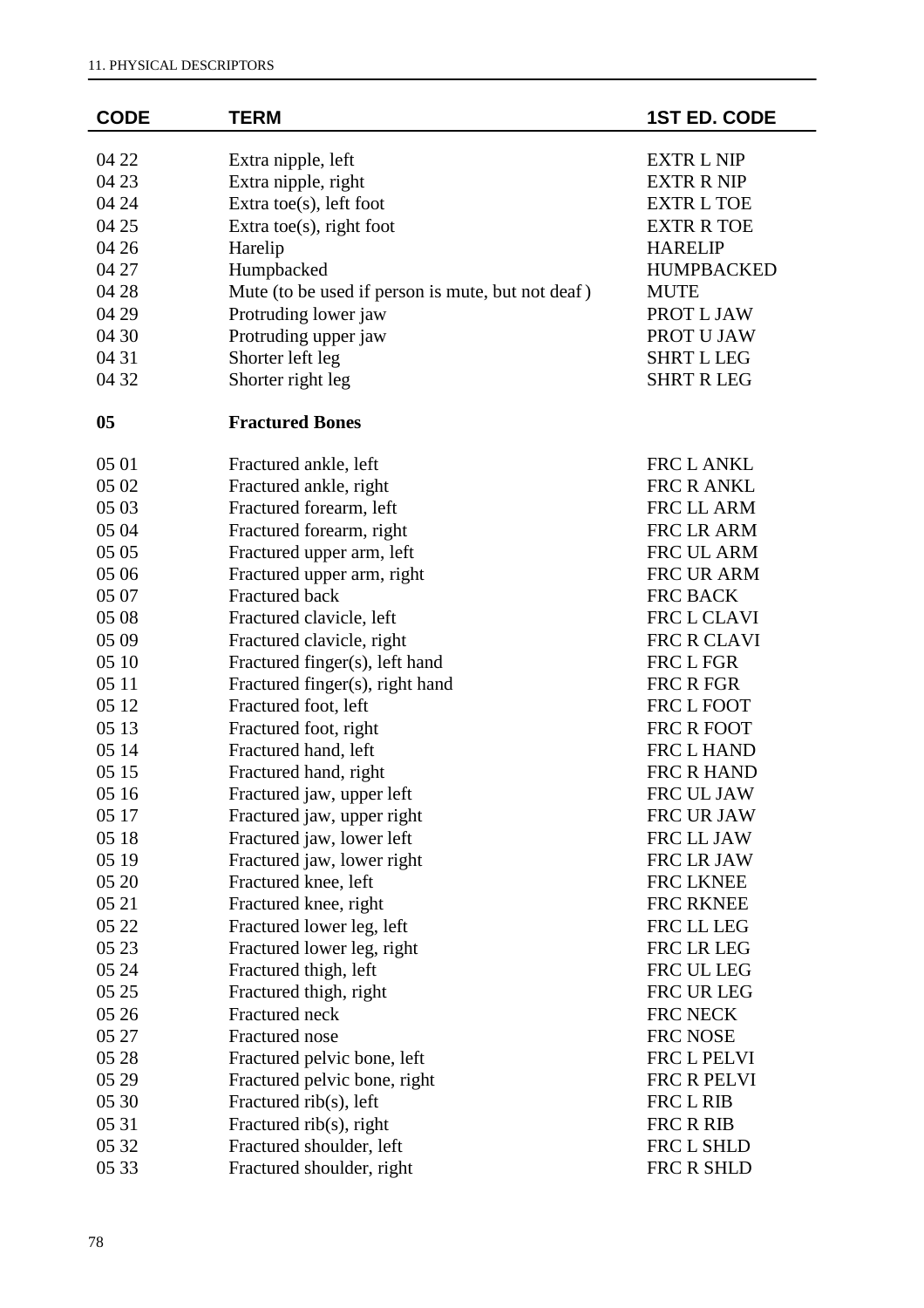| <b>CODE</b> | <b>TERM</b>                                       | <b>1ST ED. CODE</b> |
|-------------|---------------------------------------------------|---------------------|
| 04 22       | Extra nipple, left                                | <b>EXTR L NIP</b>   |
| 04 23       | Extra nipple, right                               | <b>EXTR R NIP</b>   |
| 04 24       | Extra toe $(s)$ , left foot                       | <b>EXTR L TOE</b>   |
| 04 25       | Extra toe $(s)$ , right foot                      | <b>EXTR R TOE</b>   |
| 04 26       | Harelip                                           | <b>HARELIP</b>      |
| 04 27       | Humpbacked                                        | <b>HUMPBACKED</b>   |
| 04 28       | Mute (to be used if person is mute, but not deaf) | <b>MUTE</b>         |
| 04 29       | Protruding lower jaw                              | PROT L JAW          |
| 04 30       | Protruding upper jaw                              | PROT U JAW          |
| 04 31       | Shorter left leg                                  | <b>SHRT L LEG</b>   |
| 04 32       | Shorter right leg                                 | <b>SHRT R LEG</b>   |
|             |                                                   |                     |
| 05          | <b>Fractured Bones</b>                            |                     |
| 05 01       | Fractured ankle, left                             | FRC L ANKL          |
| 05 02       | Fractured ankle, right                            | FRC R ANKL          |
| 05 03       | Fractured forearm, left                           | FRC LL ARM          |
| 05 04       | Fractured forearm, right                          | FRC LR ARM          |
| 05 05       | Fractured upper arm, left                         | FRC UL ARM          |
| 05 06       | Fractured upper arm, right                        | FRC UR ARM          |
| 05 07       | Fractured back                                    | FRC BACK            |
| 05 08       | Fractured clavicle, left                          | FRC L CLAVI         |
| 05 09       | Fractured clavicle, right                         | FRC R CLAVI         |
| 05 10       | Fractured finger(s), left hand                    | FRC L FGR           |
| 05 11       | Fractured finger(s), right hand                   | FRC R FGR           |
| 05 12       | Fractured foot, left                              | FRC L FOOT          |
| 05 13       | Fractured foot, right                             | FRC R FOOT          |
| 05 14       | Fractured hand, left                              | FRC L HAND          |
| 05 15       | Fractured hand, right                             | FRC R HAND          |
| 05 16       | Fractured jaw, upper left                         | FRC UL JAW          |
| 05 17       | Fractured jaw, upper right                        | FRC UR JAW          |
| 05 18       | Fractured jaw, lower left                         | FRC LL JAW          |
| 05 19       | Fractured jaw, lower right                        | FRC LR JAW          |
| 05 20       | Fractured knee, left                              | FRC LKNEE           |
| 05 21       | Fractured knee, right                             | FRC RKNEE           |
| 05 22       | Fractured lower leg, left                         | FRC LL LEG          |
| 05 23       | Fractured lower leg, right                        | FRC LR LEG          |
| 05 24       | Fractured thigh, left                             | FRC UL LEG          |
| 05 25       | Fractured thigh, right                            | FRC UR LEG          |
| 05 26       | Fractured neck                                    | FRC NECK            |
| 05 27       | Fractured nose                                    | FRC NOSE            |
| 05 28       | Fractured pelvic bone, left                       | FRC L PELVI         |
| 05 29       | Fractured pelvic bone, right                      | FRC R PELVI         |
| 05 30       | Fractured $\text{rib}(s)$ , left                  | FRC L RIB           |
| 05 31       | Fractured $\text{rib}(s)$ , right                 | FRC R RIB           |
| 05 32       | Fractured shoulder, left                          | FRC L SHLD          |
| 05 33       | Fractured shoulder, right                         | FRC R SHLD          |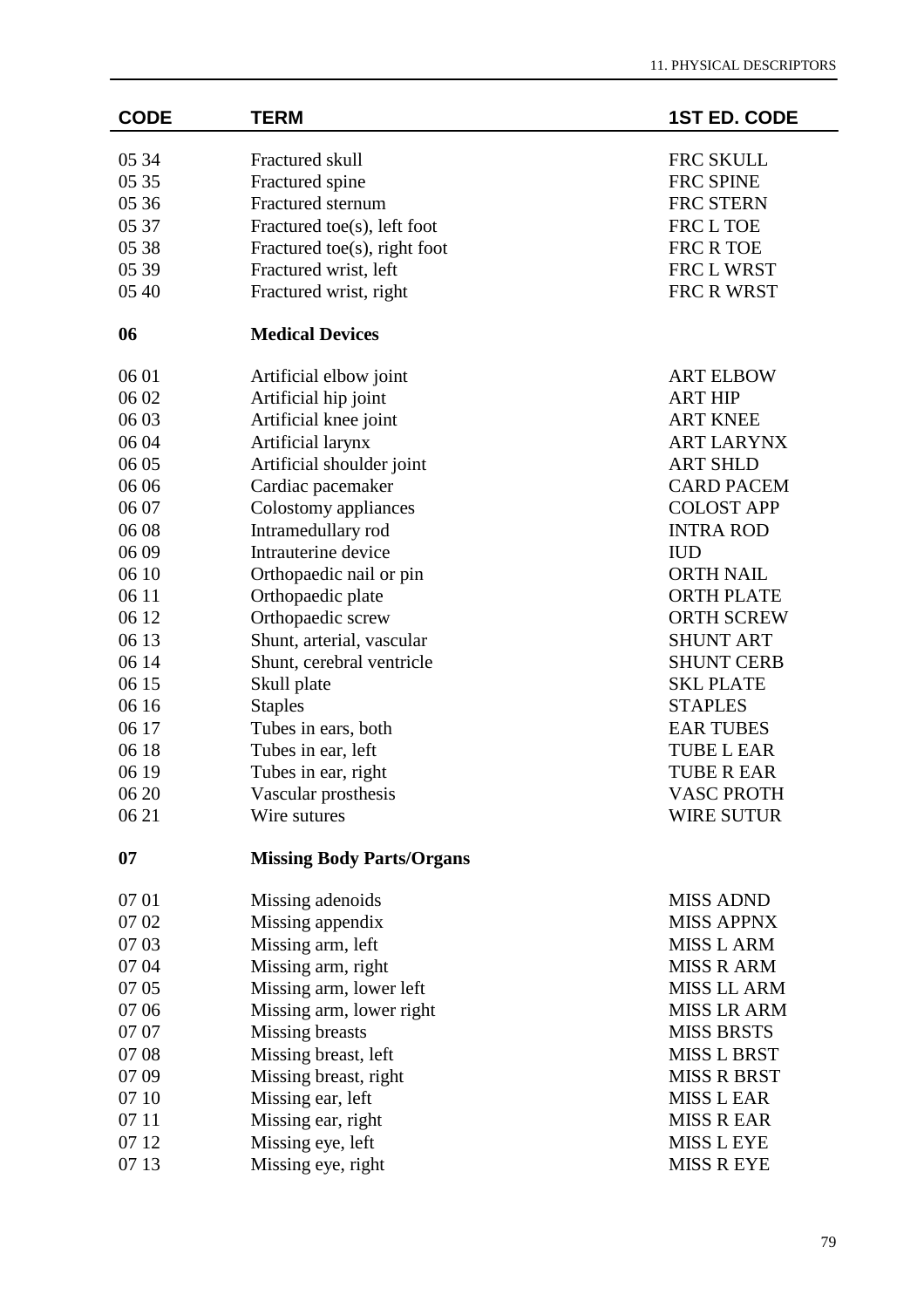| <b>CODE</b> | <b>TERM</b>                      | <b>1ST ED. CODE</b> |
|-------------|----------------------------------|---------------------|
| 05 34       | Fractured skull                  | FRC SKULL           |
| 05 35       | Fractured spine                  | FRC SPINE           |
| 05 36       | Fractured sternum                | FRC STERN           |
| 05 37       | Fractured toe(s), left foot      | FRC L TOE           |
| 05 38       | Fractured toe(s), right foot     | FRC R TOE           |
| 05 39       | Fractured wrist, left            | FRC L WRST          |
| 05 40       | Fractured wrist, right           | FRC R WRST          |
| 06          | <b>Medical Devices</b>           |                     |
| 06 01       | Artificial elbow joint           | <b>ART ELBOW</b>    |
| 06 02       | Artificial hip joint             | <b>ART HIP</b>      |
| 06 03       | Artificial knee joint            | <b>ART KNEE</b>     |
| 06 04       | Artificial larynx                | <b>ART LARYNX</b>   |
| 06 05       | Artificial shoulder joint        | <b>ART SHLD</b>     |
| 06 06       | Cardiac pacemaker                | <b>CARD PACEM</b>   |
| 06 07       | Colostomy appliances             | <b>COLOST APP</b>   |
| 06 08       | Intramedullary rod               | <b>INTRA ROD</b>    |
| 06 09       | Intrauterine device              | <b>IUD</b>          |
| 06 10       | Orthopaedic nail or pin          | <b>ORTH NAIL</b>    |
| 06 11       | Orthopaedic plate                | <b>ORTH PLATE</b>   |
| 06 12       | Orthopaedic screw                | <b>ORTH SCREW</b>   |
| 06 13       | Shunt, arterial, vascular        | <b>SHUNT ART</b>    |
| 06 14       | Shunt, cerebral ventricle        | <b>SHUNT CERB</b>   |
| 06 15       | Skull plate                      | <b>SKL PLATE</b>    |
| 06 16       | <b>Staples</b>                   | <b>STAPLES</b>      |
| 06 17       | Tubes in ears, both              | <b>EAR TUBES</b>    |
| 06 18       | Tubes in ear, left               | <b>TUBE L EAR</b>   |
| 06 19       | Tubes in ear, right              | <b>TUBE R EAR</b>   |
| 06 20       | Vascular prosthesis              | <b>VASC PROTH</b>   |
| 06 21       | Wire sutures                     | <b>WIRE SUTUR</b>   |
| 07          | <b>Missing Body Parts/Organs</b> |                     |
| 07 01       | Missing adenoids                 | <b>MISS ADND</b>    |
| 07 02       | Missing appendix                 | <b>MISS APPNX</b>   |
| 07 03       | Missing arm, left                | <b>MISS L ARM</b>   |
| 07 04       | Missing arm, right               | <b>MISS R ARM</b>   |
| 07 05       | Missing arm, lower left          | <b>MISS LL ARM</b>  |
| 07 06       | Missing arm, lower right         | <b>MISS LR ARM</b>  |
| 07 07       | Missing breasts                  | <b>MISS BRSTS</b>   |
| 07 08       | Missing breast, left             | <b>MISS L BRST</b>  |
| 07 09       | Missing breast, right            | <b>MISS R BRST</b>  |
| 07 10       | Missing ear, left                | <b>MISS L EAR</b>   |
| 07 11       | Missing ear, right               | <b>MISS R EAR</b>   |
| 07 12       | Missing eye, left                | <b>MISS L EYE</b>   |
| 07 13       | Missing eye, right               | <b>MISS R EYE</b>   |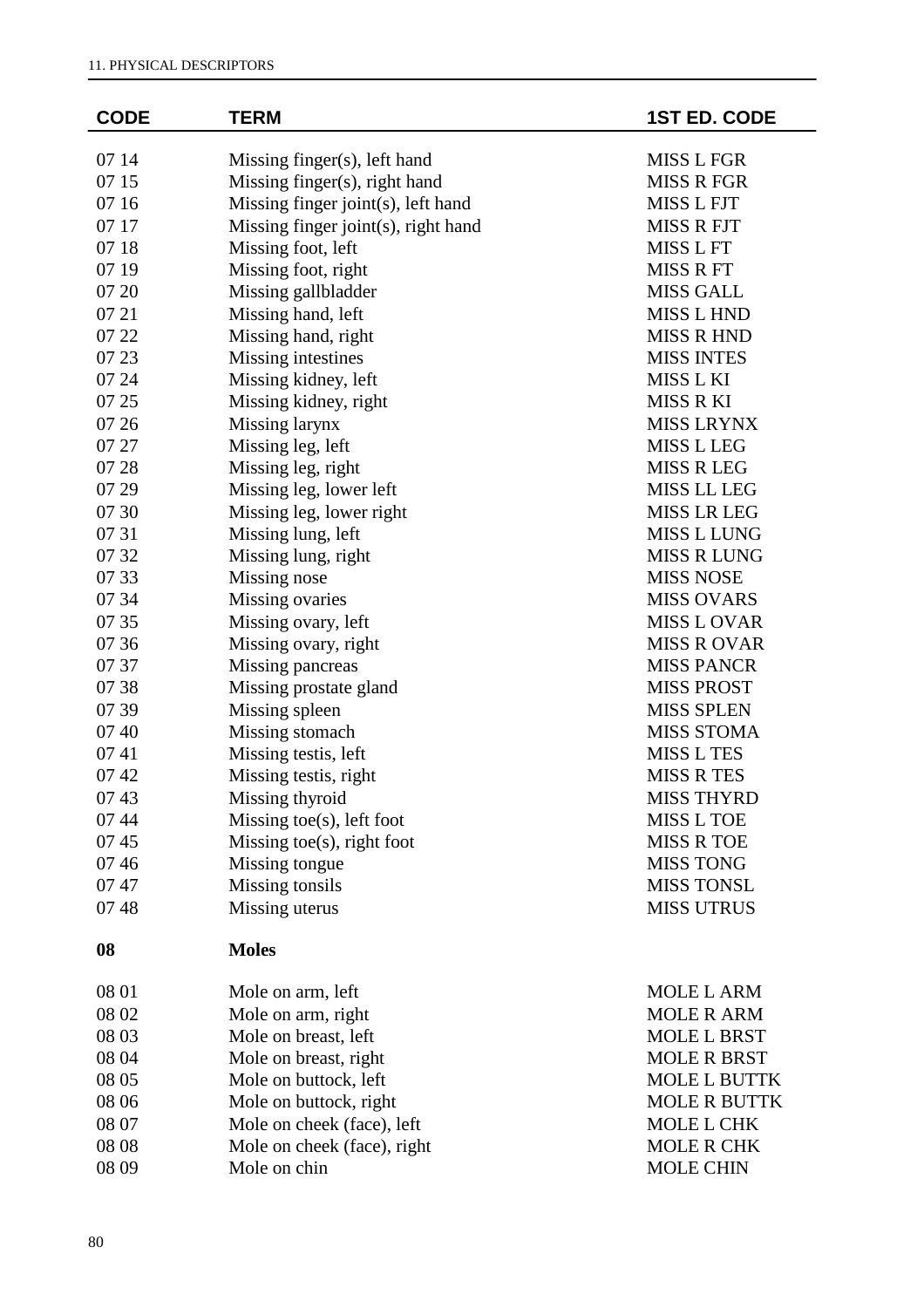| <b>CODE</b> | <b>TERM</b>                         | <b>1ST ED. CODE</b> |
|-------------|-------------------------------------|---------------------|
| 07 14       | Missing finger(s), left hand        | <b>MISS L FGR</b>   |
| 07 15       | Missing finger(s), right hand       | <b>MISS R FGR</b>   |
| 07 16       | Missing finger joint(s), left hand  | <b>MISS L FJT</b>   |
| 07 17       | Missing finger joint(s), right hand | <b>MISS R FJT</b>   |
| 07 18       | Missing foot, left                  | MISS L FT           |
| 07 19       | Missing foot, right                 | <b>MISS R FT</b>    |
| 07 20       | Missing gallbladder                 | <b>MISS GALL</b>    |
| 07 21       | Missing hand, left                  | <b>MISS L HND</b>   |
| 07 22       | Missing hand, right                 | <b>MISS R HND</b>   |
| 07 23       | Missing intestines                  | <b>MISS INTES</b>   |
| 07 24       | Missing kidney, left                | MISS L KI           |
| 07 25       | Missing kidney, right               | MISS R KI           |
| 07 26       | Missing larynx                      | <b>MISS LRYNX</b>   |
| 07 27       | Missing leg, left                   | <b>MISS L LEG</b>   |
| 07 28       | Missing leg, right                  | <b>MISS R LEG</b>   |
| 07 29       | Missing leg, lower left             | <b>MISS LL LEG</b>  |
| 07 30       | Missing leg, lower right            | <b>MISS LR LEG</b>  |
| 07 31       | Missing lung, left                  | <b>MISS L LUNG</b>  |
| 07 32       | Missing lung, right                 | <b>MISS R LUNG</b>  |
| 07 33       | Missing nose                        | <b>MISS NOSE</b>    |
| 07 34       | Missing ovaries                     | <b>MISS OVARS</b>   |
| 07 35       | Missing ovary, left                 | <b>MISS L OVAR</b>  |
| 07 36       | Missing ovary, right                | <b>MISS R OVAR</b>  |
| 07 37       | Missing pancreas                    | <b>MISS PANCR</b>   |
| 07 38       | Missing prostate gland              | <b>MISS PROST</b>   |
| 07 39       | Missing spleen                      | <b>MISS SPLEN</b>   |
| 07 40       | Missing stomach                     | <b>MISS STOMA</b>   |
| 0741        | Missing testis, left                | <b>MISS L TES</b>   |
| 07 42       | Missing testis, right               | <b>MISS R TES</b>   |
| 0743        | Missing thyroid                     | <b>MISS THYRD</b>   |
| 07 44       | Missing toe $(s)$ , left foot       | MISS L TOE          |
| 0745        | Missing toe $(s)$ , right foot      | <b>MISS R TOE</b>   |
| 0746        | Missing tongue                      | <b>MISS TONG</b>    |
| 0747        | Missing tonsils                     | <b>MISS TONSL</b>   |
| 0748        | Missing uterus                      | <b>MISS UTRUS</b>   |
| 08          | <b>Moles</b>                        |                     |
| 08 01       | Mole on arm, left                   | <b>MOLE L ARM</b>   |
| 08 02       | Mole on arm, right                  | <b>MOLE R ARM</b>   |
| 08 03       | Mole on breast, left                | <b>MOLE L BRST</b>  |
| 08 04       | Mole on breast, right               | <b>MOLE R BRST</b>  |
| 08 05       | Mole on buttock, left               | <b>MOLE L BUTTK</b> |
| 08 06       | Mole on buttock, right              | <b>MOLE R BUTTK</b> |
| 08 07       | Mole on cheek (face), left          | MOLE L CHK          |
| 08 08       | Mole on cheek (face), right         | <b>MOLE R CHK</b>   |
| 08 09       | Mole on chin                        | <b>MOLE CHIN</b>    |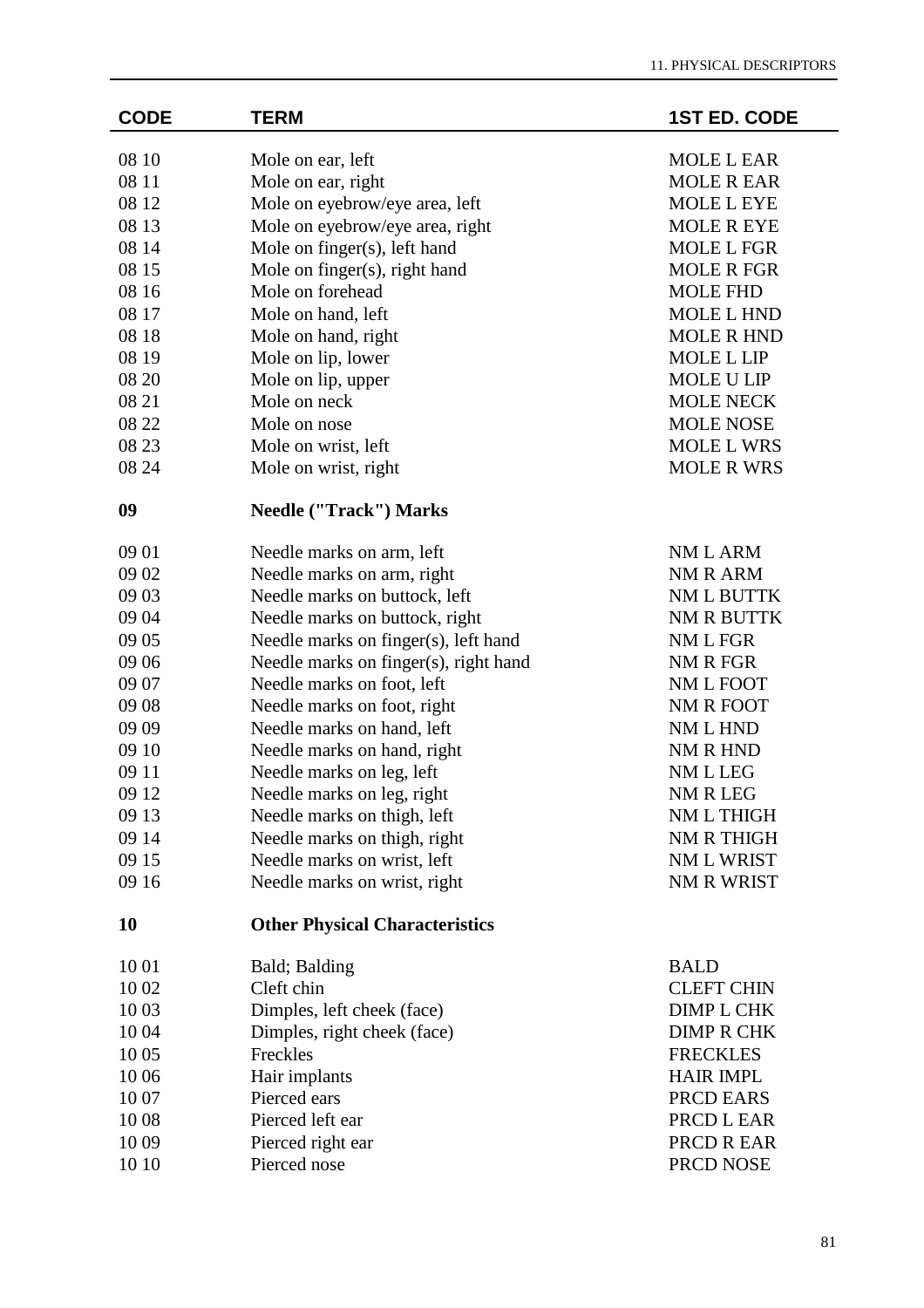$\overline{\phantom{a}}$ 

| <b>CODE</b> | <b>TERM</b>                           | <b>1ST ED. CODE</b> |
|-------------|---------------------------------------|---------------------|
| 08 10       | Mole on ear, left                     | <b>MOLE L EAR</b>   |
| 08 11       | Mole on ear, right                    | <b>MOLE R EAR</b>   |
| 08 12       | Mole on eyebrow/eye area, left        | <b>MOLE L EYE</b>   |
| 08 13       | Mole on eyebrow/eye area, right       | <b>MOLE R EYE</b>   |
| 08 14       | Mole on finger(s), left hand          | <b>MOLE L FGR</b>   |
| 08 15       | Mole on finger(s), right hand         | <b>MOLE R FGR</b>   |
| 08 16       | Mole on forehead                      | <b>MOLE FHD</b>     |
| 08 17       | Mole on hand, left                    | <b>MOLE L HND</b>   |
| 08 18       | Mole on hand, right                   | <b>MOLE R HND</b>   |
| 08 19       | Mole on lip, lower                    | <b>MOLE L LIP</b>   |
| 08 20       | Mole on lip, upper                    | <b>MOLE U LIP</b>   |
| 08 21       | Mole on neck                          | <b>MOLE NECK</b>    |
| 08 22       | Mole on nose                          | <b>MOLE NOSE</b>    |
| 08 23       | Mole on wrist, left                   | <b>MOLE L WRS</b>   |
| 08 24       | Mole on wrist, right                  | <b>MOLE R WRS</b>   |
| 09          | <b>Needle ("Track") Marks</b>         |                     |
| 09 01       | Needle marks on arm, left             | NM L ARM            |
| 09 02       | Needle marks on arm, right            | NM R ARM            |
| 09 03       | Needle marks on buttock, left         | NM L BUTTK          |
| 09 04       | Needle marks on buttock, right        | NM R BUTTK          |
| 09 05       | Needle marks on finger(s), left hand  | NM L FGR            |
| 09 06       | Needle marks on finger(s), right hand | NM R FGR            |
| 09 07       | Needle marks on foot, left            | NM L FOOT           |
| 09 08       | Needle marks on foot, right           | NM R FOOT           |
| 09 09       | Needle marks on hand, left            | NM L HND            |
| 09 10       | Needle marks on hand, right           | NM R HND            |
| 09 11       | Needle marks on leg, left             | NM L LEG            |
| 09 12       | Needle marks on leg, right            | NM R LEG            |
| 09 13       | Needle marks on thigh, left           | NM L THIGH          |
| 09 14       | Needle marks on thigh, right          | NM R THIGH          |
| 09 15       | Needle marks on wrist, left           | NM L WRIST          |
| 09 16       | Needle marks on wrist, right          | NM R WRIST          |
| 10          | <b>Other Physical Characteristics</b> |                     |
| 10 01       | Bald; Balding                         | <b>BALD</b>         |
| 10 02       | Cleft chin                            | <b>CLEFT CHIN</b>   |
| 10 03       | Dimples, left cheek (face)            | <b>DIMP L CHK</b>   |
| 10 04       | Dimples, right cheek (face)           | <b>DIMP R CHK</b>   |
| 10 05       | Freckles                              | <b>FRECKLES</b>     |
| 10 06       | Hair implants                         | <b>HAIR IMPL</b>    |
| 1007        | Pierced ears                          | PRCD EARS           |
| 1008        | Pierced left ear                      | PRCD L EAR          |
| 1009        | Pierced right ear                     | PRCD R EAR          |
| 10 10       | Pierced nose                          | PRCD NOSE           |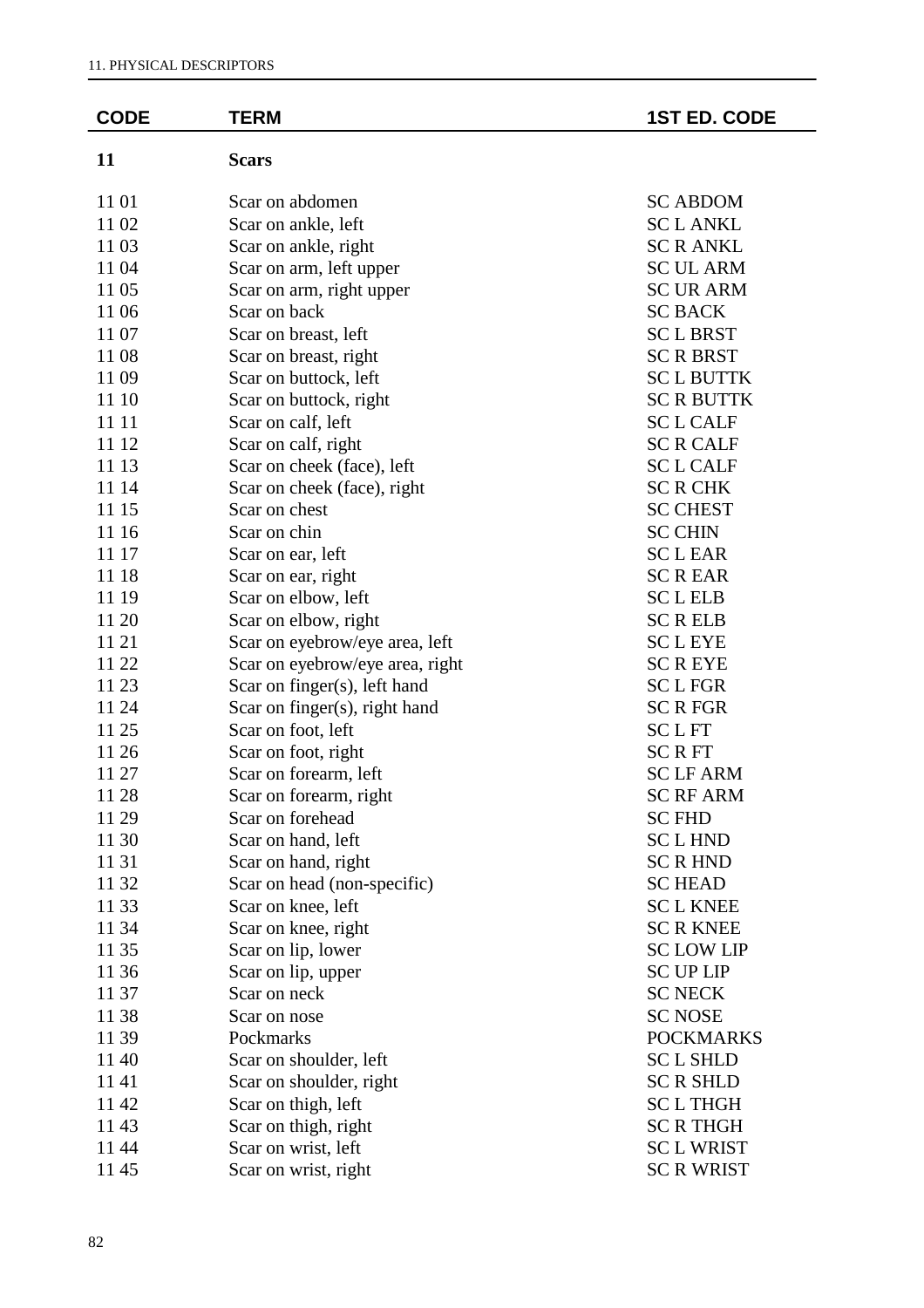| <b>CODE</b> | <b>TERM</b>                     | <b>1ST ED. CODE</b> |
|-------------|---------------------------------|---------------------|
| 11          | <b>Scars</b>                    |                     |
| 11 01       | Scar on abdomen                 | <b>SC ABDOM</b>     |
| 11 02       | Scar on ankle, left             | <b>SCLANKL</b>      |
| 11 03       | Scar on ankle, right            | <b>SC R ANKL</b>    |
| 11 04       | Scar on arm, left upper         | <b>SC UL ARM</b>    |
| 11 05       | Scar on arm, right upper        | <b>SC UR ARM</b>    |
| 11 06       | Scar on back                    | <b>SC BACK</b>      |
| 11 07       | Scar on breast, left            | <b>SCLBRST</b>      |
| 1108        | Scar on breast, right           | <b>SCRBRST</b>      |
| 1109        | Scar on buttock, left           | <b>SCLBUTTK</b>     |
| 11 10       | Scar on buttock, right          | <b>SC R BUTTK</b>   |
| 11 11       | Scar on calf, left              | <b>SCL CALF</b>     |
| 11 12       | Scar on calf, right             | <b>SCR CALF</b>     |
| 11 13       | Scar on cheek (face), left      | <b>SCL CALF</b>     |
| 11 14       | Scar on cheek (face), right     | <b>SC R CHK</b>     |
| 11 15       | Scar on chest                   | <b>SC CHEST</b>     |
| 11 16       | Scar on chin                    | <b>SC CHIN</b>      |
| 11 17       | Scar on ear, left               | <b>SCLEAR</b>       |
| 11 18       | Scar on ear, right              | <b>SCREAR</b>       |
| 11 19       | Scar on elbow, left             | <b>SCLELB</b>       |
| 11 20       | Scar on elbow, right            | <b>SCRELB</b>       |
| 11 21       | Scar on eyebrow/eye area, left  | <b>SCLEYE</b>       |
| 11 22       | Scar on eyebrow/eye area, right | <b>SCREYE</b>       |
| 11 23       | Scar on finger(s), left hand    | <b>SCLFGR</b>       |
| 11 24       | Scar on finger(s), right hand   | <b>SCRFGR</b>       |
| 11 25       | Scar on foot, left              | <b>SCLFT</b>        |
| 11 26       | Scar on foot, right             | <b>SCRFT</b>        |
| 11 27       | Scar on forearm, left           | <b>SCLFARM</b>      |
| 11 28       | Scar on forearm, right          | <b>SC RF ARM</b>    |
| 11 29       | Scar on forehead                | <b>SC FHD</b>       |
| 11 30       | Scar on hand, left              | <b>SCLHND</b>       |
| 11 31       | Scar on hand, right             | <b>SC R HND</b>     |
| 11 32       | Scar on head (non-specific)     | <b>SC HEAD</b>      |
| 11 33       | Scar on knee, left              | <b>SCL KNEE</b>     |
| 11 34       | Scar on knee, right             | <b>SC R KNEE</b>    |
| 11 35       | Scar on lip, lower              | <b>SC LOW LIP</b>   |
| 11 36       | Scar on lip, upper              | <b>SC UP LIP</b>    |
| 11 37       | Scar on neck                    | <b>SC NECK</b>      |
| 11 38       | Scar on nose                    | <b>SC NOSE</b>      |
| 11 39       | Pockmarks                       | <b>POCKMARKS</b>    |
| 1140        | Scar on shoulder, left          | <b>SCL SHLD</b>     |
| 1141        | Scar on shoulder, right         | <b>SC R SHLD</b>    |
| 11 42       | Scar on thigh, left             | <b>SCLTHGH</b>      |
| 1143        | Scar on thigh, right            | <b>SC R THGH</b>    |
| 11 44       | Scar on wrist, left             | <b>SCL WRIST</b>    |
| 1145        | Scar on wrist, right            | <b>SC R WRIST</b>   |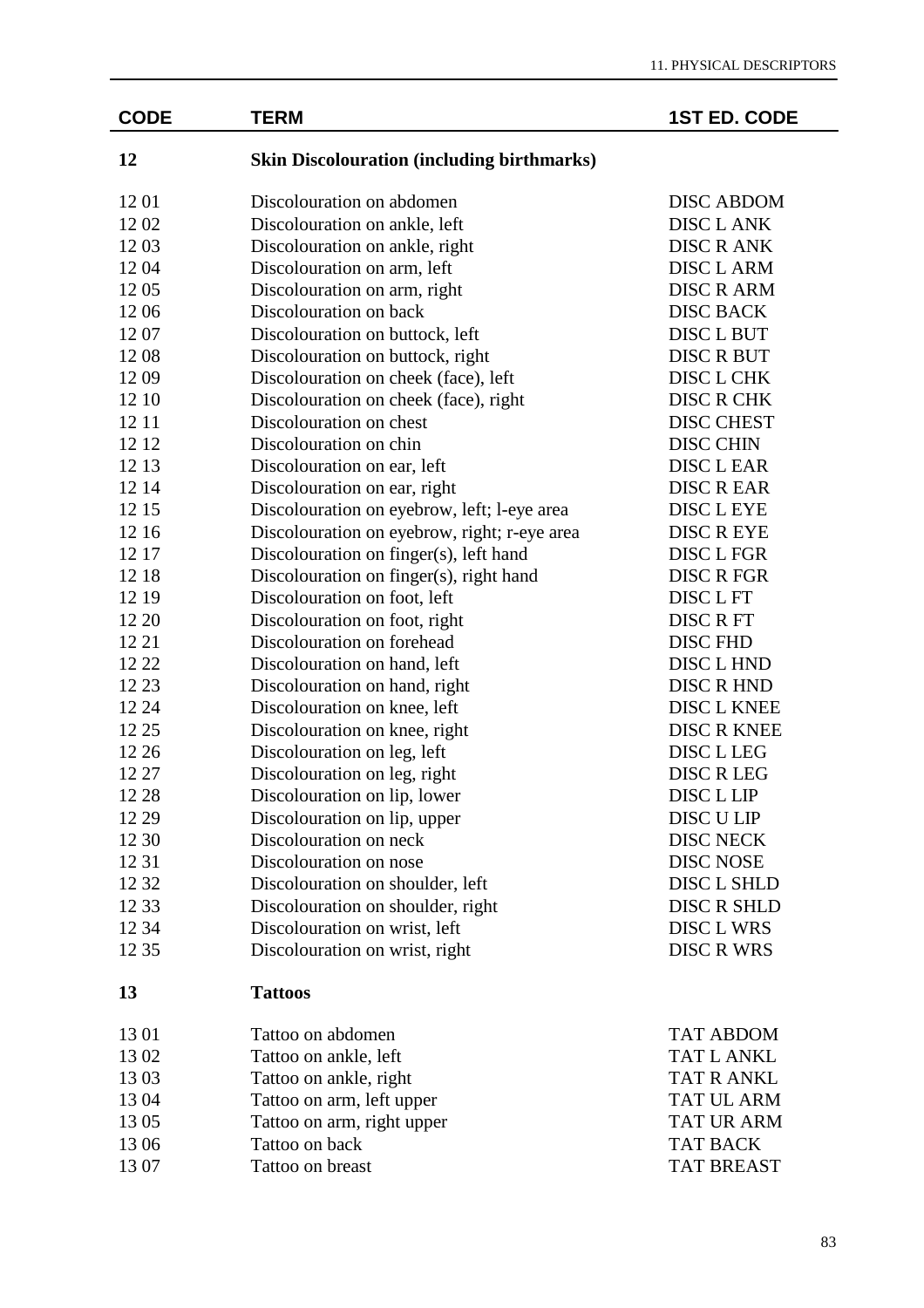| <b>CODE</b> | <b>TERM</b>                                       | <b>1ST ED. CODE</b> |
|-------------|---------------------------------------------------|---------------------|
| 12          | <b>Skin Discolouration (including birthmarks)</b> |                     |
| 12 01       | Discolouration on abdomen                         | <b>DISC ABDOM</b>   |
| 1202        | Discolouration on ankle, left                     | <b>DISC L ANK</b>   |
| 1203        | Discolouration on ankle, right                    | <b>DISC R ANK</b>   |
| 1204        | Discolouration on arm, left                       | <b>DISC L ARM</b>   |
| 1205        | Discolouration on arm, right                      | <b>DISC R ARM</b>   |
| 1206        | Discolouration on back                            | <b>DISC BACK</b>    |
| 1207        | Discolouration on buttock, left                   | DISC L BUT          |
| 1208        | Discolouration on buttock, right                  | <b>DISC R BUT</b>   |
| 1209        | Discolouration on cheek (face), left              | DISC L CHK          |
| 12 10       | Discolouration on cheek (face), right             | <b>DISC R CHK</b>   |
| 12 11       | Discolouration on chest                           | <b>DISC CHEST</b>   |
| 12 12       | Discolouration on chin                            | <b>DISC CHIN</b>    |
| 12 13       | Discolouration on ear, left                       | <b>DISC L EAR</b>   |
| 12 14       | Discolouration on ear, right                      | <b>DISC R EAR</b>   |
| 12 15       | Discolouration on eyebrow, left; l-eye area       | DISC L EYE          |
| 12 16       | Discolouration on eyebrow, right; r-eye area      | <b>DISC R EYE</b>   |
| 12 17       | Discolouration on finger(s), left hand            | DISC L FGR          |
| 12 18       | Discolouration on finger(s), right hand           | <b>DISC R FGR</b>   |
| 12 19       | Discolouration on foot, left                      | DISC L FT           |
| 12 20       | Discolouration on foot, right                     | <b>DISC R FT</b>    |
| 12 21       | Discolouration on forehead                        | <b>DISC FHD</b>     |
| 12 22       | Discolouration on hand, left                      | DISC L HND          |
| 12 23       | Discolouration on hand, right                     | <b>DISC R HND</b>   |
| 12 24       | Discolouration on knee, left                      | DISC L KNEE         |
| 12 25       | Discolouration on knee, right                     | <b>DISC R KNEE</b>  |
| 12 26       | Discolouration on leg, left                       | DISC L LEG          |
| 12 27       | Discolouration on leg, right                      | <b>DISC R LEG</b>   |
| 12 28       | Discolouration on lip, lower                      | DISC L LIP          |
| 12 29       | Discolouration on lip, upper                      | DISC U LIP          |
| 12 30       | Discolouration on neck                            | <b>DISC NECK</b>    |
| 12 31       | Discolouration on nose                            | <b>DISC NOSE</b>    |
| 12 32       | Discolouration on shoulder, left                  | DISC L SHLD         |
| 12 33       | Discolouration on shoulder, right                 | <b>DISC R SHLD</b>  |
| 12 34       | Discolouration on wrist, left                     | DISC L WRS          |
| 12 35       | Discolouration on wrist, right                    | <b>DISC R WRS</b>   |
| 13          | <b>Tattoos</b>                                    |                     |
| 13 01       | Tattoo on abdomen                                 | <b>TAT ABDOM</b>    |
| 1302        | Tattoo on ankle, left                             | <b>TAT L ANKL</b>   |
| 1303        | Tattoo on ankle, right                            | <b>TAT R ANKL</b>   |
| 1304        | Tattoo on arm, left upper                         | <b>TAT UL ARM</b>   |
| 1305        | Tattoo on arm, right upper                        | <b>TAT UR ARM</b>   |
| 13 06       | Tattoo on back                                    | <b>TAT BACK</b>     |
| 13 07       | Tattoo on breast                                  | <b>TAT BREAST</b>   |
|             |                                                   |                     |